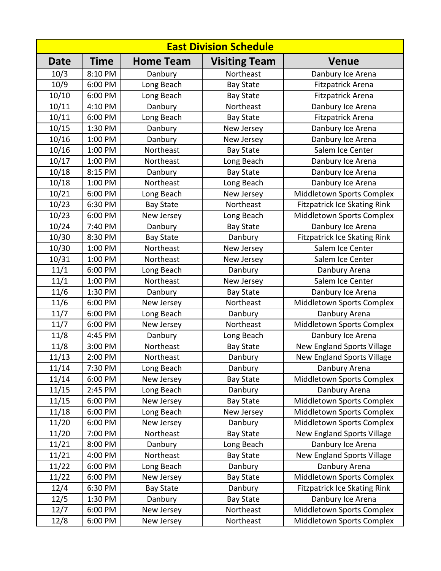| <b>East Division Schedule</b> |         |                  |                      |                                     |  |  |  |
|-------------------------------|---------|------------------|----------------------|-------------------------------------|--|--|--|
| Date                          | Time    | <b>Home Team</b> | <b>Visiting Team</b> | <b>Venue</b>                        |  |  |  |
| 10/3                          | 8:10 PM | Danbury          | Northeast            | Danbury Ice Arena                   |  |  |  |
| 10/9                          | 6:00 PM | Long Beach       | <b>Bay State</b>     | <b>Fitzpatrick Arena</b>            |  |  |  |
| 10/10                         | 6:00 PM | Long Beach       | <b>Bay State</b>     | Fitzpatrick Arena                   |  |  |  |
| 10/11                         | 4:10 PM | Danbury          | Northeast            | Danbury Ice Arena                   |  |  |  |
| 10/11                         | 6:00 PM | Long Beach       | <b>Bay State</b>     | <b>Fitzpatrick Arena</b>            |  |  |  |
| 10/15                         | 1:30 PM | Danbury          | New Jersey           | Danbury Ice Arena                   |  |  |  |
| 10/16                         | 1:00 PM | Danbury          | New Jersey           | Danbury Ice Arena                   |  |  |  |
| 10/16                         | 1:00 PM | Northeast        | <b>Bay State</b>     | Salem Ice Center                    |  |  |  |
| 10/17                         | 1:00 PM | Northeast        | Long Beach           | Danbury Ice Arena                   |  |  |  |
| 10/18                         | 8:15 PM | Danbury          | <b>Bay State</b>     | Danbury Ice Arena                   |  |  |  |
| 10/18                         | 1:00 PM | Northeast        | Long Beach           | Danbury Ice Arena                   |  |  |  |
| 10/21                         | 6:00 PM | Long Beach       | New Jersey           | Middletown Sports Complex           |  |  |  |
| 10/23                         | 6:30 PM | <b>Bay State</b> | Northeast            | <b>Fitzpatrick Ice Skating Rink</b> |  |  |  |
| 10/23                         | 6:00 PM | New Jersey       | Long Beach           | Middletown Sports Complex           |  |  |  |
| 10/24                         | 7:40 PM | Danbury          | <b>Bay State</b>     | Danbury Ice Arena                   |  |  |  |
| 10/30                         | 8:30 PM | <b>Bay State</b> | Danbury              | <b>Fitzpatrick Ice Skating Rink</b> |  |  |  |
| 10/30                         | 1:00 PM | Northeast        | New Jersey           | Salem Ice Center                    |  |  |  |
| 10/31                         | 1:00 PM | Northeast        | New Jersey           | Salem Ice Center                    |  |  |  |
| 11/1                          | 6:00 PM | Long Beach       | Danbury              | Danbury Arena                       |  |  |  |
| 11/1                          | 1:00 PM | Northeast        | New Jersey           | Salem Ice Center                    |  |  |  |
| 11/6                          | 1:30 PM | Danbury          | <b>Bay State</b>     | Danbury Ice Arena                   |  |  |  |
| 11/6                          | 6:00 PM | New Jersey       | Northeast            | Middletown Sports Complex           |  |  |  |
| 11/7                          | 6:00 PM | Long Beach       | Danbury              | Danbury Arena                       |  |  |  |
| 11/7                          | 6:00 PM | New Jersey       | Northeast            | Middletown Sports Complex           |  |  |  |
| 11/8                          | 4:45 PM | Danbury          | Long Beach           | Danbury Ice Arena                   |  |  |  |
| 11/8                          | 3:00 PM | Northeast        | <b>Bay State</b>     | New England Sports Village          |  |  |  |
| 11/13                         | 2:00 PM | Northeast        | Danbury              | New England Sports Village          |  |  |  |
| 11/14                         | 7:30 PM | Long Beach       | Danbury              | Danbury Arena                       |  |  |  |
| 11/14                         | 6:00 PM | New Jersey       | <b>Bay State</b>     | Middletown Sports Complex           |  |  |  |
| 11/15                         | 2:45 PM | Long Beach       | Danbury              | Danbury Arena                       |  |  |  |
| 11/15                         | 6:00 PM | New Jersey       | <b>Bay State</b>     | Middletown Sports Complex           |  |  |  |
| 11/18                         | 6:00 PM | Long Beach       | New Jersey           | Middletown Sports Complex           |  |  |  |
| 11/20                         | 6:00 PM | New Jersey       | Danbury              | Middletown Sports Complex           |  |  |  |
| 11/20                         | 7:00 PM | Northeast        | <b>Bay State</b>     | New England Sports Village          |  |  |  |
| 11/21                         | 8:00 PM | Danbury          | Long Beach           | Danbury Ice Arena                   |  |  |  |
| 11/21                         | 4:00 PM | Northeast        | <b>Bay State</b>     | New England Sports Village          |  |  |  |
| 11/22                         | 6:00 PM | Long Beach       | Danbury              | Danbury Arena                       |  |  |  |
| 11/22                         | 6:00 PM | New Jersey       | <b>Bay State</b>     | Middletown Sports Complex           |  |  |  |
| 12/4                          | 6:30 PM | <b>Bay State</b> | Danbury              | <b>Fitzpatrick Ice Skating Rink</b> |  |  |  |
| 12/5                          | 1:30 PM | Danbury          | <b>Bay State</b>     | Danbury Ice Arena                   |  |  |  |
| 12/7                          | 6:00 PM | New Jersey       | Northeast            | Middletown Sports Complex           |  |  |  |
| 12/8                          | 6:00 PM | New Jersey       | Northeast            | Middletown Sports Complex           |  |  |  |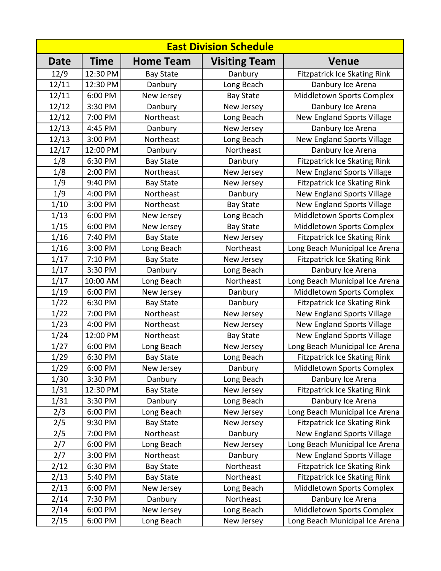| <b>East Division Schedule</b> |             |                  |                      |                                     |  |  |
|-------------------------------|-------------|------------------|----------------------|-------------------------------------|--|--|
| Date                          | <b>Time</b> | <b>Home Team</b> | <b>Visiting Team</b> | <b>Venue</b>                        |  |  |
| 12/9                          | 12:30 PM    | <b>Bay State</b> | Danbury              | <b>Fitzpatrick Ice Skating Rink</b> |  |  |
| 12/11                         | 12:30 PM    | Danbury          | Long Beach           | Danbury Ice Arena                   |  |  |
| 12/11                         | 6:00 PM     | New Jersey       | <b>Bay State</b>     | Middletown Sports Complex           |  |  |
| 12/12                         | 3:30 PM     | Danbury          | New Jersey           | Danbury Ice Arena                   |  |  |
| 12/12                         | 7:00 PM     | Northeast        | Long Beach           | New England Sports Village          |  |  |
| 12/13                         | 4:45 PM     | Danbury          | New Jersey           | Danbury Ice Arena                   |  |  |
| 12/13                         | 3:00 PM     | Northeast        | Long Beach           | New England Sports Village          |  |  |
| 12/17                         | 12:00 PM    | Danbury          | Northeast            | Danbury Ice Arena                   |  |  |
| 1/8                           | 6:30 PM     | <b>Bay State</b> | Danbury              | <b>Fitzpatrick Ice Skating Rink</b> |  |  |
| 1/8                           | 2:00 PM     | Northeast        | New Jersey           | New England Sports Village          |  |  |
| 1/9                           | 9:40 PM     | <b>Bay State</b> | New Jersey           | <b>Fitzpatrick Ice Skating Rink</b> |  |  |
| 1/9                           | 4:00 PM     | Northeast        | Danbury              | New England Sports Village          |  |  |
| 1/10                          | 3:00 PM     | Northeast        | <b>Bay State</b>     | New England Sports Village          |  |  |
| 1/13                          | 6:00 PM     | New Jersey       | Long Beach           | Middletown Sports Complex           |  |  |
| 1/15                          | 6:00 PM     | New Jersey       | <b>Bay State</b>     | Middletown Sports Complex           |  |  |
| 1/16                          | 7:40 PM     | <b>Bay State</b> | New Jersey           | <b>Fitzpatrick Ice Skating Rink</b> |  |  |
| 1/16                          | 3:00 PM     | Long Beach       | Northeast            | Long Beach Municipal Ice Arena      |  |  |
| 1/17                          | 7:10 PM     | <b>Bay State</b> | New Jersey           | <b>Fitzpatrick Ice Skating Rink</b> |  |  |
| 1/17                          | 3:30 PM     | Danbury          | Long Beach           | Danbury Ice Arena                   |  |  |
| 1/17                          | 10:00 AM    | Long Beach       | Northeast            | Long Beach Municipal Ice Arena      |  |  |
| 1/19                          | 6:00 PM     | New Jersey       | Danbury              | Middletown Sports Complex           |  |  |
| 1/22                          | 6:30 PM     | <b>Bay State</b> | Danbury              | <b>Fitzpatrick Ice Skating Rink</b> |  |  |
| 1/22                          | 7:00 PM     | Northeast        | New Jersey           | New England Sports Village          |  |  |
| 1/23                          | 4:00 PM     | Northeast        | New Jersey           | New England Sports Village          |  |  |
| 1/24                          | 12:00 PM    | Northeast        | <b>Bay State</b>     | New England Sports Village          |  |  |
| 1/27                          | 6:00 PM     | Long Beach       | New Jersey           | Long Beach Municipal Ice Arena      |  |  |
| 1/29                          | 6:30 PM     | <b>Bay State</b> | Long Beach           | <b>Fitzpatrick Ice Skating Rink</b> |  |  |
| 1/29                          | 6:00 PM     | New Jersey       | Danbury              | Middletown Sports Complex           |  |  |
| 1/30                          | 3:30 PM     | Danbury          | Long Beach           | Danbury Ice Arena                   |  |  |
| 1/31                          | 12:30 PM    | <b>Bay State</b> | New Jersey           | <b>Fitzpatrick Ice Skating Rink</b> |  |  |
| 1/31                          | 3:30 PM     | Danbury          | Long Beach           | Danbury Ice Arena                   |  |  |
| 2/3                           | 6:00 PM     | Long Beach       | New Jersey           | Long Beach Municipal Ice Arena      |  |  |
| 2/5                           | 9:30 PM     | <b>Bay State</b> | New Jersey           | <b>Fitzpatrick Ice Skating Rink</b> |  |  |
| 2/5                           | 7:00 PM     | Northeast        | Danbury              | New England Sports Village          |  |  |
| 2/7                           | 6:00 PM     | Long Beach       | New Jersey           | Long Beach Municipal Ice Arena      |  |  |
| 2/7                           | 3:00 PM     | Northeast        | Danbury              | New England Sports Village          |  |  |
| 2/12                          | 6:30 PM     | <b>Bay State</b> | Northeast            | <b>Fitzpatrick Ice Skating Rink</b> |  |  |
| 2/13                          | 5:40 PM     | <b>Bay State</b> | Northeast            | <b>Fitzpatrick Ice Skating Rink</b> |  |  |
| 2/13                          | 6:00 PM     | New Jersey       | Long Beach           | Middletown Sports Complex           |  |  |
| 2/14                          | 7:30 PM     | Danbury          | Northeast            | Danbury Ice Arena                   |  |  |
| 2/14                          | 6:00 PM     | New Jersey       | Long Beach           | Middletown Sports Complex           |  |  |
| 2/15                          | 6:00 PM     | Long Beach       | New Jersey           | Long Beach Municipal Ice Arena      |  |  |